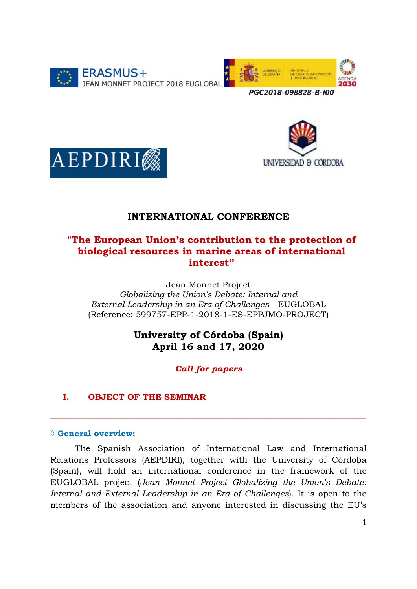



UNIVERSIDAD **B** CORDOBA



# INTERNATIONAL CONFERENCE

# "The European Union's contribution to the protection of biological resources in marine areas of international interest"

Jean Monnet Project Globalizing the Union's Debate: Internal and External Leadership in an Era of Challenges - EUGLOBAL (Reference: 599757-EPP-1-2018-1-ES-EPPJMO-PROJECT)

# University of Córdoba (Spain) April 16 and 17, 2020

Call for papers

 $\_$  , and the set of the set of the set of the set of the set of the set of the set of the set of the set of the set of the set of the set of the set of the set of the set of the set of the set of the set of the set of th

# I. OBJECT OF THE SEMINAR

# ◊ General overview:

The Spanish Association of International Law and International Relations Professors (AEPDIRI), together with the University of Córdoba (Spain), will hold an international conference in the framework of the EUGLOBAL project (Jean Monnet Project Globalizing the Union's Debate: Internal and External Leadership in an Era of Challenges). It is open to the members of the association and anyone interested in discussing the EU's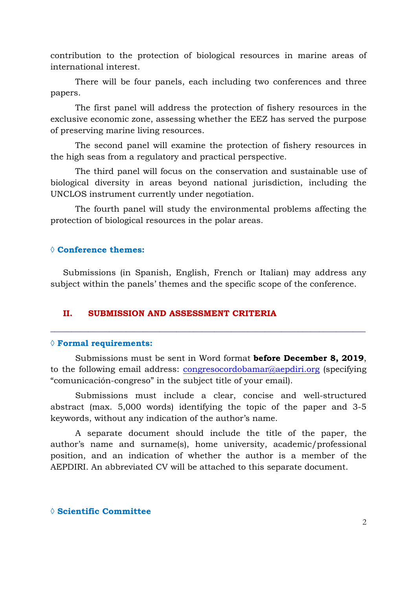contribution to the protection of biological resources in marine areas of international interest.

There will be four panels, each including two conferences and three papers.

The first panel will address the protection of fishery resources in the exclusive economic zone, assessing whether the EEZ has served the purpose of preserving marine living resources.

The second panel will examine the protection of fishery resources in the high seas from a regulatory and practical perspective.

The third panel will focus on the conservation and sustainable use of biological diversity in areas beyond national jurisdiction, including the UNCLOS instrument currently under negotiation.

The fourth panel will study the environmental problems affecting the protection of biological resources in the polar areas.

## ◊ Conference themes:

Submissions (in Spanish, English, French or Italian) may address any subject within the panels' themes and the specific scope of the conference.

### II. SUBMISSION AND ASSESSMENT CRITERIA

#### $\Diamond$  Formal requirements:

Submissions must be sent in Word format before December 8, 2019, to the following email address: congresocordobamar@aepdiri.org (specifying "comunicación-congreso" in the subject title of your email).

\_\_\_\_\_\_\_\_\_\_\_\_\_\_\_\_\_\_\_\_\_\_\_\_\_\_\_\_\_\_\_\_\_\_\_\_\_\_\_\_\_\_\_\_\_\_\_\_\_\_\_\_\_\_\_\_\_\_\_\_\_\_\_\_\_\_\_\_\_\_\_\_\_\_\_

Submissions must include a clear, concise and well-structured abstract (max. 5,000 words) identifying the topic of the paper and 3-5 keywords, without any indication of the author's name.

A separate document should include the title of the paper, the author's name and surname(s), home university, academic/professional position, and an indication of whether the author is a member of the AEPDIRI. An abbreviated CV will be attached to this separate document.

## ◊ Scientific Committee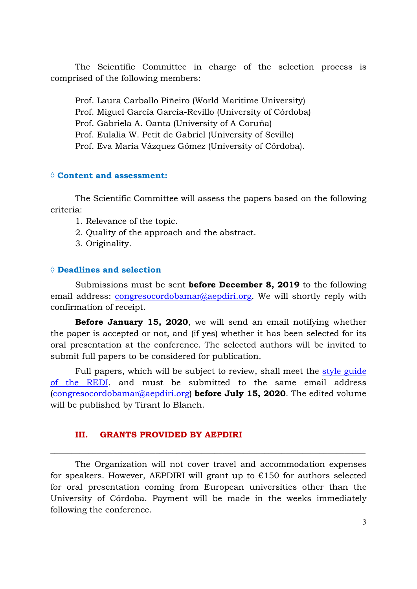The Scientific Committee in charge of the selection process is comprised of the following members:

Prof. Laura Carballo Piñeiro (World Maritime University)

Prof. Miguel García García-Revillo (University of Córdoba)

Prof. Gabriela A. Oanta (University of A Coruña)

Prof. Eulalia W. Petit de Gabriel (University of Seville)

Prof. Eva María Vázquez Gómez (University of Córdoba).

### ◊ Content and assessment:

The Scientific Committee will assess the papers based on the following criteria:

- 1. Relevance of the topic.
- 2. Quality of the approach and the abstract.
- 3. Originality.

## ◊ Deadlines and selection

Submissions must be sent before December 8, 2019 to the following email address: congresocordobamar@aepdiri.org. We will shortly reply with confirmation of receipt.

Before January 15, 2020, we will send an email notifying whether the paper is accepted or not, and (if yes) whether it has been selected for its oral presentation at the conference. The selected authors will be invited to submit full papers to be considered for publication.

Full papers, which will be subject to review, shall meet the style guide of the REDI, and must be submitted to the same email address (congresocordobamar@aepdiri.org) **before July 15, 2020**. The edited volume will be published by Tirant lo Blanch.

## III. GRANTS PROVIDED BY AEPDIRI

The Organization will not cover travel and accommodation expenses for speakers. However, AEPDIRI will grant up to  $\epsilon$ 150 for authors selected for oral presentation coming from European universities other than the University of Córdoba. Payment will be made in the weeks immediately following the conference.

\_\_\_\_\_\_\_\_\_\_\_\_\_\_\_\_\_\_\_\_\_\_\_\_\_\_\_\_\_\_\_\_\_\_\_\_\_\_\_\_\_\_\_\_\_\_\_\_\_\_\_\_\_\_\_\_\_\_\_\_\_\_\_\_\_\_\_\_\_\_\_\_\_\_\_